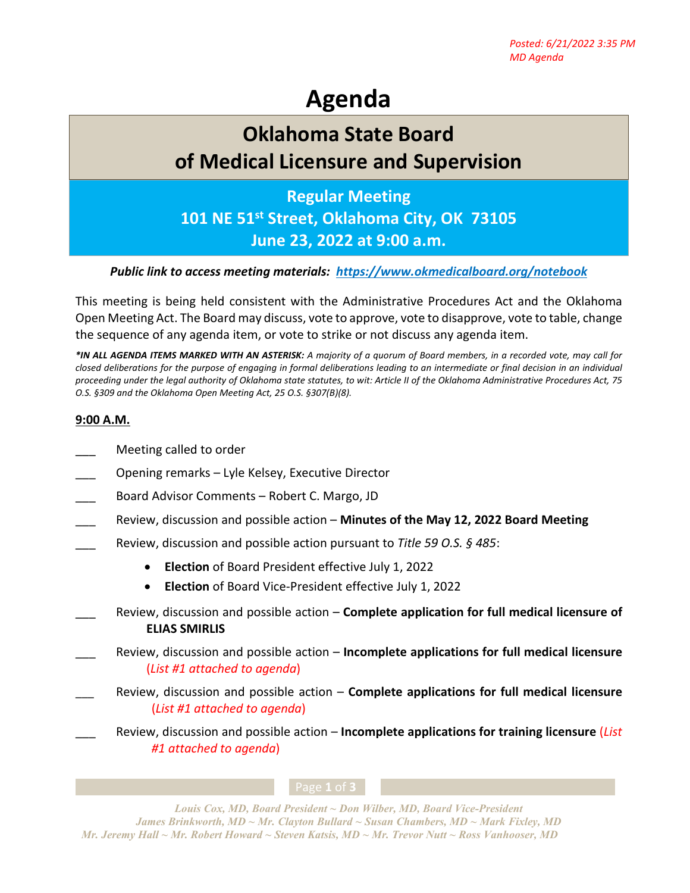# **Agenda**

# **Oklahoma State Board of Medical Licensure and Supervision**

## **Regular Meeting**

**101 NE 51st Street, Oklahoma City, OK 73105**

## **June 23, 2022 at 9:00 a.m.**

#### *Public link to access meeting materials: <https://www.okmedicalboard.org/notebook>*

This meeting is being held consistent with the Administrative Procedures Act and the Oklahoma Open Meeting Act. The Board may discuss, vote to approve, vote to disapprove, vote to table, change the sequence of any agenda item, or vote to strike or not discuss any agenda item.

*\*IN ALL AGENDA ITEMS MARKED WITH AN ASTERISK: A majority of a quorum of Board members, in a recorded vote, may call for closed deliberations for the purpose of engaging in formal deliberations leading to an intermediate or final decision in an individual proceeding under the legal authority of Oklahoma state statutes, to wit: Article II of the Oklahoma Administrative Procedures Act, 75 O.S. §309 and the Oklahoma Open Meeting Act, 25 O.S. §307(B)(8).* 

### **9:00 A.M.**

- Meeting called to order
- \_\_\_ Opening remarks Lyle Kelsey, Executive Director
- Board Advisor Comments Robert C. Margo, JD
- \_\_\_ Review, discussion and possible action **Minutes of the May 12, 2022 Board Meeting**
- \_\_\_ Review, discussion and possible action pursuant to *Title 59 O.S. § 485*:
	- **Election** of Board President effective July 1, 2022
	- **Election** of Board Vice-President effective July 1, 2022
- \_\_\_ Review, discussion and possible action **Complete application for full medical licensure of ELIAS SMIRLIS**
- \_\_\_ Review, discussion and possible action **Incomplete applications for full medical licensure** (*List #1 attached to agenda*)
- \_\_\_ Review, discussion and possible action **Complete applications for full medical licensure** (*List #1 attached to agenda*)
	- \_\_\_ Review, discussion and possible action **Incomplete applications for training licensure** (*List #1 attached to agenda*)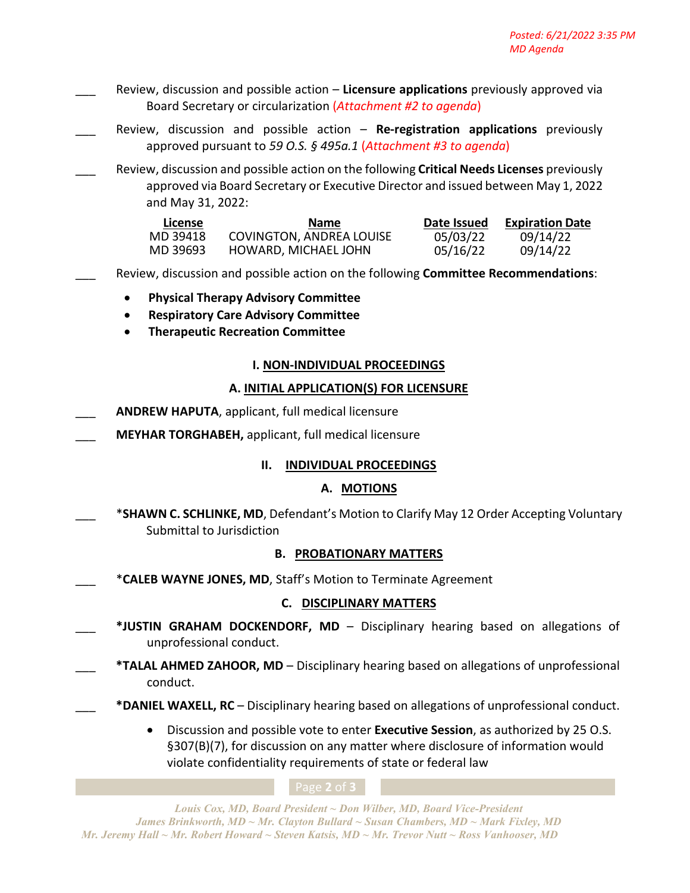- \_\_\_ Review, discussion and possible action **Licensure applications** previously approved via Board Secretary or circularization (*Attachment #2 to agenda*)
- Review, discussion and possible action Re-registration applications previously approved pursuant to *59 O.S. § 495a.1* (*Attachment #3 to agenda*)
	- \_\_\_ Review, discussion and possible action on the following **Critical Needs Licenses** previously approved via Board Secretary or Executive Director and issued between May 1, 2022 and May 31, 2022:

| License  | <b>Name</b>              | Date Issued | <b>Expiration Date</b> |
|----------|--------------------------|-------------|------------------------|
| MD 39418 | COVINGTON, ANDREA LOUISE | 05/03/22    | 09/14/22               |
| MD 39693 | HOWARD, MICHAEL JOHN     | 05/16/22    | 09/14/22               |

\_\_\_ Review, discussion and possible action on the following **Committee Recommendations**:

- **Physical Therapy Advisory Committee**
- **Respiratory Care Advisory Committee**
- **Therapeutic Recreation Committee**

#### **I. NON-INDIVIDUAL PROCEEDINGS**

#### **A. INITIAL APPLICATION(S) FOR LICENSURE**

- \_\_\_ **ANDREW HAPUTA**, applicant, full medical licensure
- \_\_\_ **MEYHAR TORGHABEH,** applicant, full medical licensure

### **II. INDIVIDUAL PROCEEDINGS**

### **A. MOTIONS**

\*SHAWN C. SCHLINKE, MD, Defendant's Motion to Clarify May 12 Order Accepting Voluntary Submittal to Jurisdiction

#### **B. PROBATIONARY MATTERS**

\_\_\_ \***CALEB WAYNE JONES, MD**, Staff's Motion to Terminate Agreement

#### **C. DISCIPLINARY MATTERS**

- \*JUSTIN GRAHAM DOCKENDORF, MD Disciplinary hearing based on allegations of unprofessional conduct.
- \_\_\_ **\*TALAL AHMED ZAHOOR, MD** Disciplinary hearing based on allegations of unprofessional conduct.
	- \_\_\_ **\*DANIEL WAXELL, RC** Disciplinary hearing based on allegations of unprofessional conduct.
		- Discussion and possible vote to enter **Executive Session**, as authorized by 25 O.S. §307(B)(7), for discussion on any matter where disclosure of information would violate confidentiality requirements of state or federal law